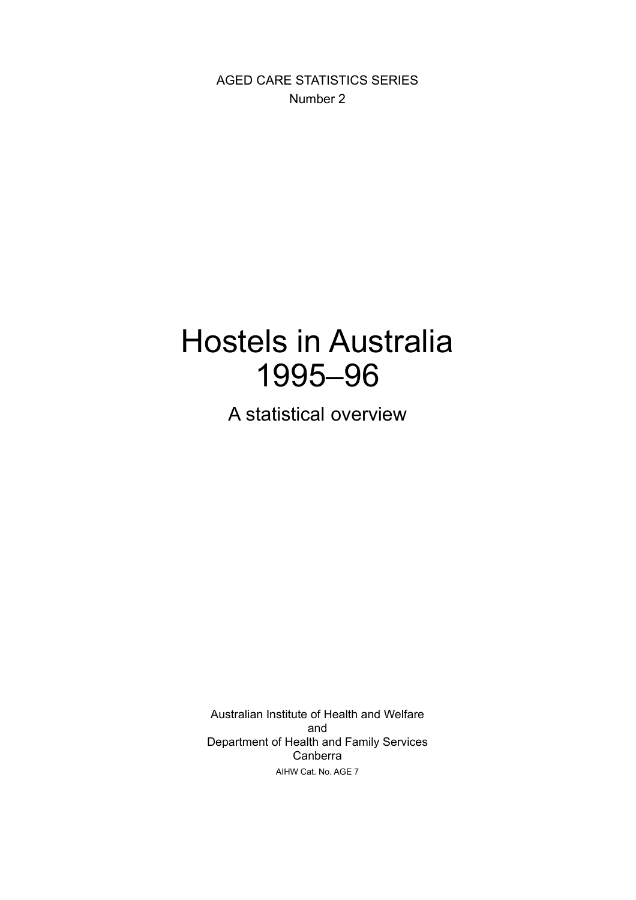AGED CARE STATISTICS SERIES Number 2

### Hostels in Australia 1995–96

A statistical overview

Australian Institute of Health and Welfare and Department of Health and Family Services Canberra AIHW Cat. No. AGE 7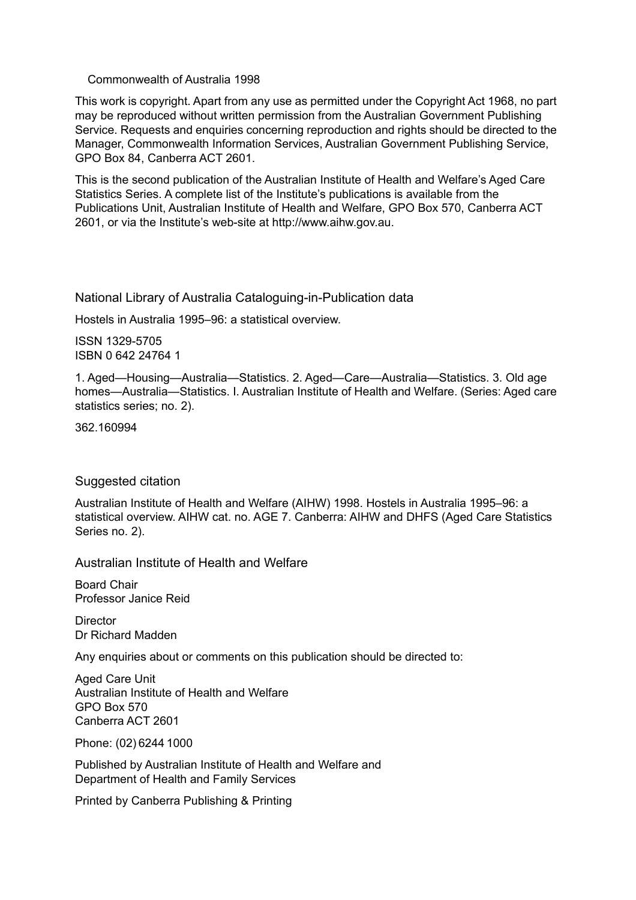#### Commonwealth of Australia 1998

This work is copyright. Apart from any use as permitted under the Copyright Act 1968, no part may be reproduced without written permission from the Australian Government Publishing Service. Requests and enquiries concerning reproduction and rights should be directed to the Manager, Commonwealth Information Services, Australian Government Publishing Service, GPO Box 84, Canberra ACT 2601.

This is the second publication of the Australian Institute of Health and Welfare's Aged Care Statistics Series. A complete list of the Institute's publications is available from the Publications Unit, Australian Institute of Health and Welfare, GPO Box 570, Canberra ACT 2601, or via the Institute's web-site at http://www.aihw.gov.au.

National Library of Australia Cataloguing-in-Publication data

Hostels in Australia 1995–96: a statistical overview.

ISSN 1329-5705 ISBN 0 642 24764 1

1. Aged—Housing—Australia—Statistics. 2. Aged—Care—Australia—Statistics. 3. Old age homes—Australia—Statistics. I. Australian Institute of Health and Welfare. (Series: Aged care statistics series; no. 2).

362.160994

#### Suggested citation

Australian Institute of Health and Welfare (AIHW) 1998. Hostels in Australia 1995–96: a statistical overview. AIHW cat. no. AGE 7. Canberra: AIHW and DHFS (Aged Care Statistics Series no. 2).

Australian Institute of Health and Welfare

Board Chair Professor Janice Reid

**Director** Dr Richard Madden

Any enquiries about or comments on this publication should be directed to:

Aged Care Unit Australian Institute of Health and Welfare GPO Box 570 Canberra ACT 2601

Phone: (02) 6244 1000

Published by Australian Institute of Health and Welfare and Department of Health and Family Services

Printed by Canberra Publishing & Printing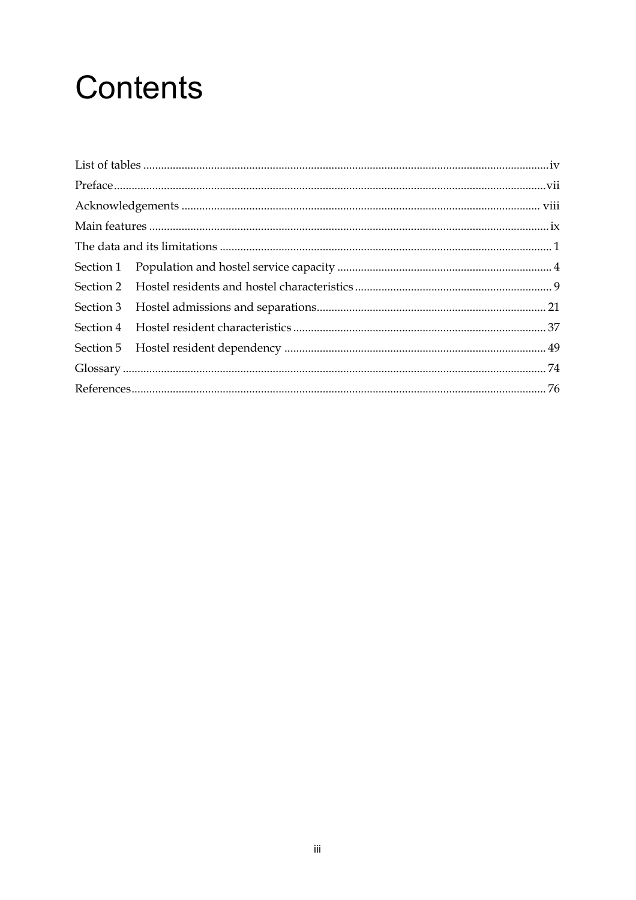# **Contents**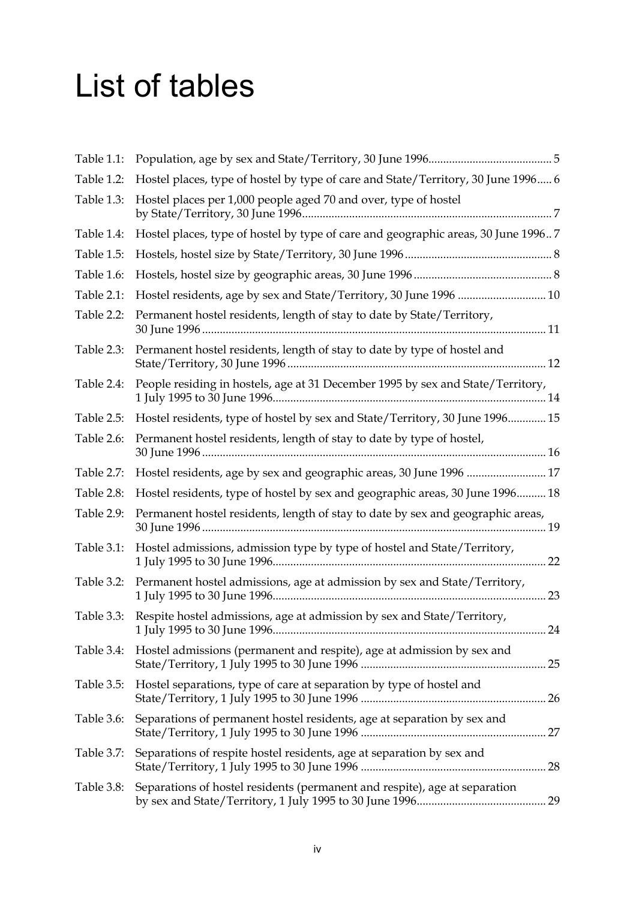## <span id="page-3-0"></span>List of tables

| Table 1.1: |                                                                                   |  |
|------------|-----------------------------------------------------------------------------------|--|
| Table 1.2: | Hostel places, type of hostel by type of care and State/Territory, 30 June 1996 6 |  |
| Table 1.3: | Hostel places per 1,000 people aged 70 and over, type of hostel                   |  |
| Table 1.4: | Hostel places, type of hostel by type of care and geographic areas, 30 June 19967 |  |
| Table 1.5: |                                                                                   |  |
| Table 1.6: |                                                                                   |  |
| Table 2.1: | Hostel residents, age by sex and State/Territory, 30 June 1996  10                |  |
| Table 2.2: | Permanent hostel residents, length of stay to date by State/Territory,            |  |
| Table 2.3: | Permanent hostel residents, length of stay to date by type of hostel and          |  |
| Table 2.4: | People residing in hostels, age at 31 December 1995 by sex and State/Territory,   |  |
| Table 2.5: | Hostel residents, type of hostel by sex and State/Territory, 30 June 1996 15      |  |
| Table 2.6: | Permanent hostel residents, length of stay to date by type of hostel,             |  |
| Table 2.7: | Hostel residents, age by sex and geographic areas, 30 June 1996  17               |  |
| Table 2.8: | Hostel residents, type of hostel by sex and geographic areas, 30 June 1996 18     |  |
| Table 2.9: | Permanent hostel residents, length of stay to date by sex and geographic areas,   |  |
| Table 3.1: | Hostel admissions, admission type by type of hostel and State/Territory,          |  |
| Table 3.2: | Permanent hostel admissions, age at admission by sex and State/Territory,         |  |
| Table 3.3: | Respite hostel admissions, age at admission by sex and State/Territory,           |  |
| Table 3.4: | Hostel admissions (permanent and respite), age at admission by sex and            |  |
| Table 3.5: | Hostel separations, type of care at separation by type of hostel and              |  |
| Table 3.6: | Separations of permanent hostel residents, age at separation by sex and           |  |
| Table 3.7: | Separations of respite hostel residents, age at separation by sex and             |  |
| Table 3.8: | Separations of hostel residents (permanent and respite), age at separation        |  |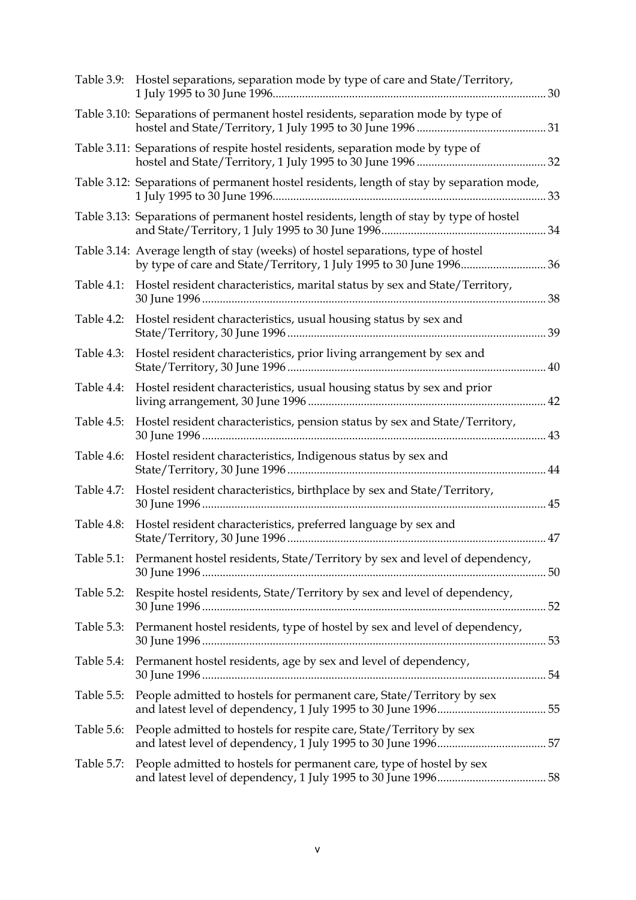|            | Table 3.9: Hostel separations, separation mode by type of care and State/Territory,       |  |
|------------|-------------------------------------------------------------------------------------------|--|
|            | Table 3.10: Separations of permanent hostel residents, separation mode by type of         |  |
|            | Table 3.11: Separations of respite hostel residents, separation mode by type of           |  |
|            | Table 3.12: Separations of permanent hostel residents, length of stay by separation mode, |  |
|            | Table 3.13: Separations of permanent hostel residents, length of stay by type of hostel   |  |
|            | Table 3.14: Average length of stay (weeks) of hostel separations, type of hostel          |  |
| Table 4.1: | Hostel resident characteristics, marital status by sex and State/Territory,               |  |
| Table 4.2: | Hostel resident characteristics, usual housing status by sex and                          |  |
|            | Table 4.3: Hostel resident characteristics, prior living arrangement by sex and           |  |
| Table 4.4: | Hostel resident characteristics, usual housing status by sex and prior                    |  |
| Table 4.5: | Hostel resident characteristics, pension status by sex and State/Territory,               |  |
|            | Table 4.6: Hostel resident characteristics, Indigenous status by sex and                  |  |
| Table 4.7: | Hostel resident characteristics, birthplace by sex and State/Territory,                   |  |
| Table 4.8: | Hostel resident characteristics, preferred language by sex and                            |  |
|            | Table 5.1: Permanent hostel residents, State/Territory by sex and level of dependency,    |  |
| Table 5.2: | Respite hostel residents, State/Territory by sex and level of dependency,                 |  |
| Table 5.3: | Permanent hostel residents, type of hostel by sex and level of dependency,                |  |
| Table 5.4: | Permanent hostel residents, age by sex and level of dependency,                           |  |
| Table 5.5: | People admitted to hostels for permanent care, State/Territory by sex                     |  |
| Table 5.6: | People admitted to hostels for respite care, State/Territory by sex                       |  |
| Table 5.7: | People admitted to hostels for permanent care, type of hostel by sex                      |  |
|            |                                                                                           |  |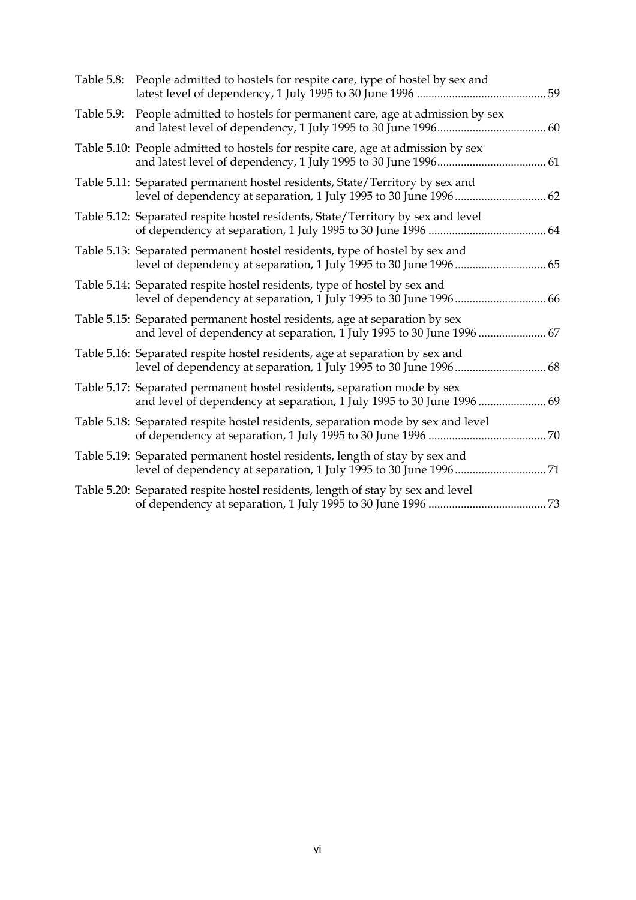|            | Table 5.8: People admitted to hostels for respite care, type of hostel by sex and                                                                    |
|------------|------------------------------------------------------------------------------------------------------------------------------------------------------|
| Table 5.9: | People admitted to hostels for permanent care, age at admission by sex                                                                               |
|            | Table 5.10: People admitted to hostels for respite care, age at admission by sex                                                                     |
|            | Table 5.11: Separated permanent hostel residents, State/Territory by sex and<br>level of dependency at separation, 1 July 1995 to 30 June 1996  62   |
|            | Table 5.12: Separated respite hostel residents, State/Territory by sex and level                                                                     |
|            | Table 5.13: Separated permanent hostel residents, type of hostel by sex and                                                                          |
|            | Table 5.14: Separated respite hostel residents, type of hostel by sex and                                                                            |
|            | Table 5.15: Separated permanent hostel residents, age at separation by sex<br>and level of dependency at separation, 1 July 1995 to 30 June 1996  67 |
|            | Table 5.16: Separated respite hostel residents, age at separation by sex and                                                                         |
|            | Table 5.17: Separated permanent hostel residents, separation mode by sex<br>and level of dependency at separation, 1 July 1995 to 30 June 1996  69   |
|            | Table 5.18: Separated respite hostel residents, separation mode by sex and level                                                                     |
|            | Table 5.19: Separated permanent hostel residents, length of stay by sex and                                                                          |
|            | Table 5.20: Separated respite hostel residents, length of stay by sex and level                                                                      |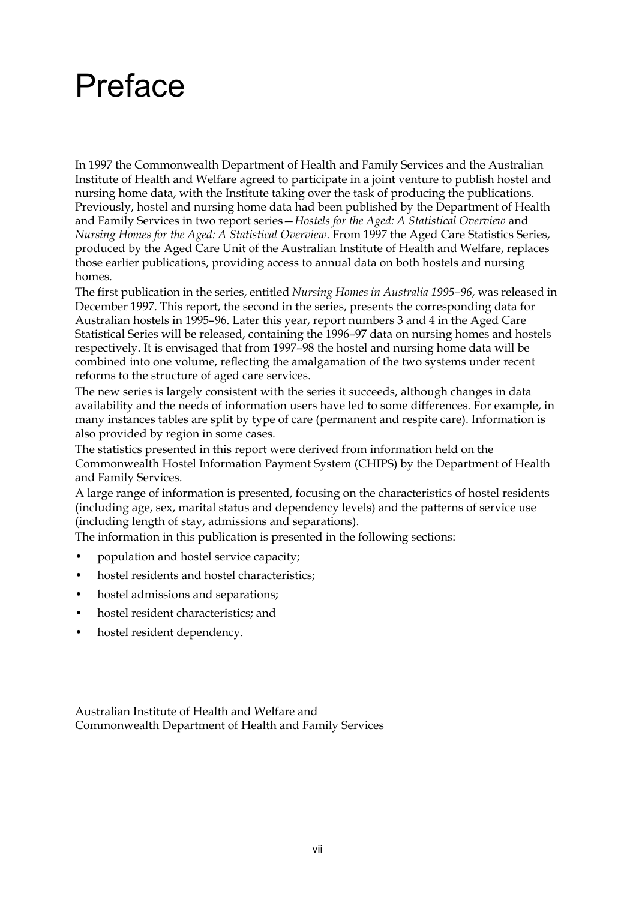### <span id="page-6-0"></span>Preface

In 1997 the Commonwealth Department of Health and Family Services and the Australian Institute of Health and Welfare agreed to participate in a joint venture to publish hostel and nursing home data, with the Institute taking over the task of producing the publications. Previously, hostel and nursing home data had been published by the Department of Health and Family Services in two report series—*Hostels for the Aged: A Statistical Overview* and *Nursing Homes for the Aged: A Statistical Overview*. From 1997 the Aged Care Statistics Series, produced by the Aged Care Unit of the Australian Institute of Health and Welfare, replaces those earlier publications, providing access to annual data on both hostels and nursing homes.

The first publication in the series, entitled *Nursing Homes in Australia 1995–96*, was released in December 1997. This report, the second in the series, presents the corresponding data for Australian hostels in 1995–96. Later this year, report numbers 3 and 4 in the Aged Care Statistical Series will be released, containing the 1996–97 data on nursing homes and hostels respectively. It is envisaged that from 1997–98 the hostel and nursing home data will be combined into one volume, reflecting the amalgamation of the two systems under recent reforms to the structure of aged care services.

The new series is largely consistent with the series it succeeds, although changes in data availability and the needs of information users have led to some differences. For example, in many instances tables are split by type of care (permanent and respite care). Information is also provided by region in some cases.

The statistics presented in this report were derived from information held on the Commonwealth Hostel Information Payment System (CHIPS) by the Department of Health and Family Services.

A large range of information is presented, focusing on the characteristics of hostel residents (including age, sex, marital status and dependency levels) and the patterns of service use (including length of stay, admissions and separations).

The information in this publication is presented in the following sections:

- population and hostel service capacity;
- hostel residents and hostel characteristics;
- hostel admissions and separations;
- hostel resident characteristics; and
- hostel resident dependency.

Australian Institute of Health and Welfare and Commonwealth Department of Health and Family Services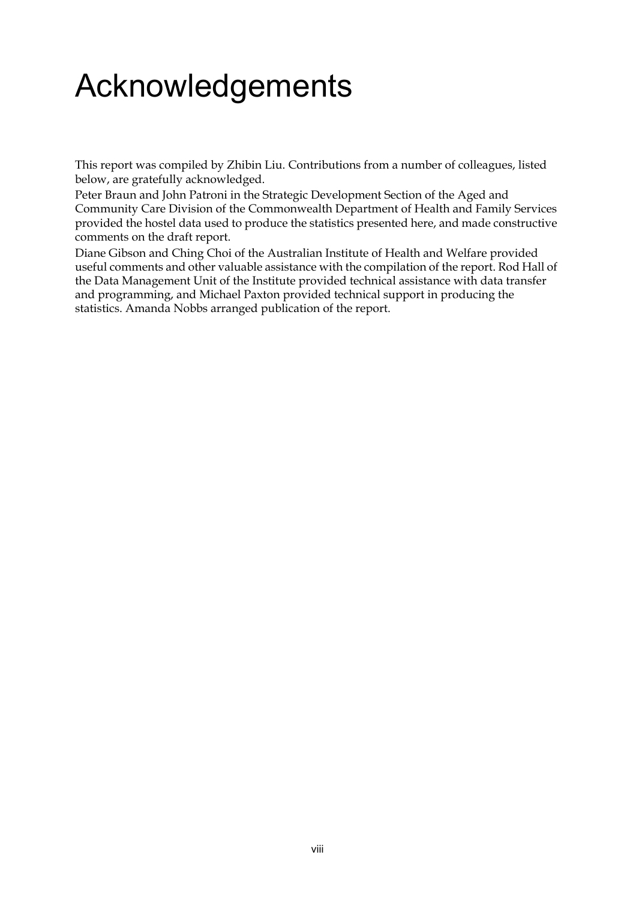# <span id="page-7-0"></span>Acknowledgements

This report was compiled by Zhibin Liu. Contributions from a number of colleagues, listed below, are gratefully acknowledged.

Peter Braun and John Patroni in the Strategic Development Section of the Aged and Community Care Division of the Commonwealth Department of Health and Family Services provided the hostel data used to produce the statistics presented here, and made constructive comments on the draft report.

Diane Gibson and Ching Choi of the Australian Institute of Health and Welfare provided useful comments and other valuable assistance with the compilation of the report. Rod Hall of the Data Management Unit of the Institute provided technical assistance with data transfer and programming, and Michael Paxton provided technical support in producing the statistics. Amanda Nobbs arranged publication of the report.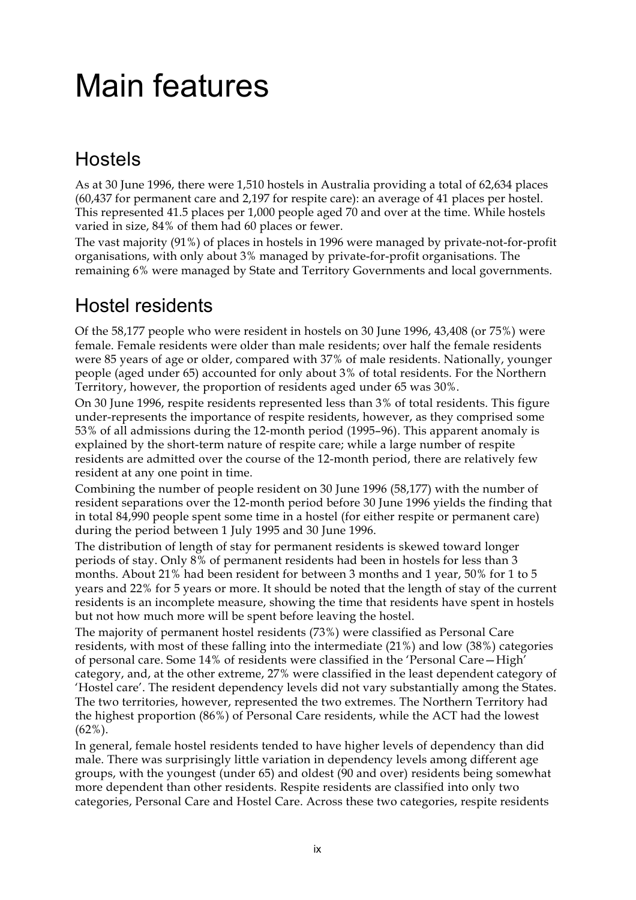## <span id="page-8-0"></span>Main features

### Hostels

As at 30 June 1996, there were 1,510 hostels in Australia providing a total of 62,634 places (60,437 for permanent care and 2,197 for respite care): an average of 41 places per hostel. This represented 41.5 places per 1,000 people aged 70 and over at the time. While hostels varied in size, 84% of them had 60 places or fewer.

The vast majority (91%) of places in hostels in 1996 were managed by private-not-for-profit organisations, with only about 3% managed by private-for-profit organisations. The remaining 6% were managed by State and Territory Governments and local governments.

#### Hostel residents

Of the 58,177 people who were resident in hostels on 30 June 1996, 43,408 (or 75%) were female. Female residents were older than male residents; over half the female residents were 85 years of age or older, compared with 37% of male residents. Nationally, younger people (aged under 65) accounted for only about 3% of total residents. For the Northern Territory, however, the proportion of residents aged under 65 was 30%.

On 30 June 1996, respite residents represented less than 3% of total residents. This figure under-represents the importance of respite residents, however, as they comprised some 53% of all admissions during the 12-month period (1995–96). This apparent anomaly is explained by the short-term nature of respite care; while a large number of respite residents are admitted over the course of the 12-month period, there are relatively few resident at any one point in time.

Combining the number of people resident on 30 June 1996 (58,177) with the number of resident separations over the 12-month period before 30 June 1996 yields the finding that in total 84,990 people spent some time in a hostel (for either respite or permanent care) during the period between 1 July 1995 and 30 June 1996.

The distribution of length of stay for permanent residents is skewed toward longer periods of stay. Only 8% of permanent residents had been in hostels for less than 3 months. About 21% had been resident for between 3 months and 1 year, 50% for 1 to 5 years and 22% for 5 years or more. It should be noted that the length of stay of the current residents is an incomplete measure, showing the time that residents have spent in hostels but not how much more will be spent before leaving the hostel.

The majority of permanent hostel residents (73%) were classified as Personal Care residents, with most of these falling into the intermediate (21%) and low (38%) categories of personal care. Some 14% of residents were classified in the 'Personal Care—High' category, and, at the other extreme, 27% were classified in the least dependent category of 'Hostel care'. The resident dependency levels did not vary substantially among the States. The two territories, however, represented the two extremes. The Northern Territory had the highest proportion (86%) of Personal Care residents, while the ACT had the lowest (62%).

In general, female hostel residents tended to have higher levels of dependency than did male. There was surprisingly little variation in dependency levels among different age groups, with the youngest (under 65) and oldest (90 and over) residents being somewhat more dependent than other residents. Respite residents are classified into only two categories, Personal Care and Hostel Care. Across these two categories, respite residents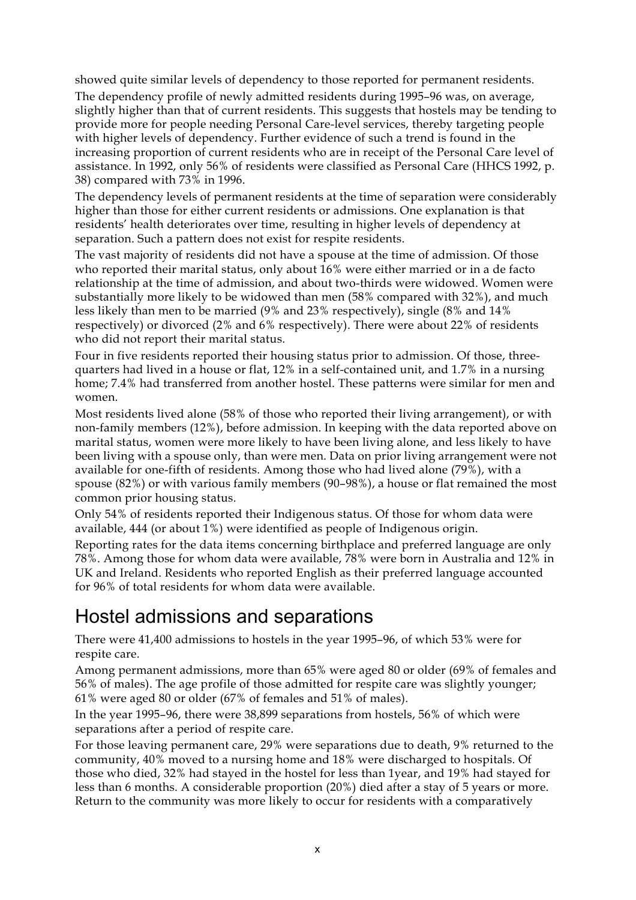showed quite similar levels of dependency to those reported for permanent residents.

The dependency profile of newly admitted residents during 1995–96 was, on average, slightly higher than that of current residents. This suggests that hostels may be tending to provide more for people needing Personal Care-level services, thereby targeting people with higher levels of dependency. Further evidence of such a trend is found in the increasing proportion of current residents who are in receipt of the Personal Care level of assistance. In 1992, only 56% of residents were classified as Personal Care (HHCS 1992, p. 38) compared with 73% in 1996.

The dependency levels of permanent residents at the time of separation were considerably higher than those for either current residents or admissions. One explanation is that residents' health deteriorates over time, resulting in higher levels of dependency at separation. Such a pattern does not exist for respite residents.

The vast majority of residents did not have a spouse at the time of admission. Of those who reported their marital status, only about 16% were either married or in a de facto relationship at the time of admission, and about two-thirds were widowed. Women were substantially more likely to be widowed than men (58% compared with 32%), and much less likely than men to be married (9% and 23% respectively), single (8% and 14% respectively) or divorced (2% and 6% respectively). There were about 22% of residents who did not report their marital status.

Four in five residents reported their housing status prior to admission. Of those, threequarters had lived in a house or flat, 12% in a self-contained unit, and 1.7% in a nursing home; 7.4% had transferred from another hostel. These patterns were similar for men and women.

Most residents lived alone (58% of those who reported their living arrangement), or with non-family members (12%), before admission. In keeping with the data reported above on marital status, women were more likely to have been living alone, and less likely to have been living with a spouse only, than were men. Data on prior living arrangement were not available for one-fifth of residents. Among those who had lived alone (79%), with a spouse (82%) or with various family members (90–98%), a house or flat remained the most common prior housing status.

Only 54% of residents reported their Indigenous status. Of those for whom data were available, 444 (or about 1%) were identified as people of Indigenous origin.

Reporting rates for the data items concerning birthplace and preferred language are only 78%. Among those for whom data were available, 78% were born in Australia and 12% in UK and Ireland. Residents who reported English as their preferred language accounted for 96% of total residents for whom data were available.

#### Hostel admissions and separations

There were 41,400 admissions to hostels in the year 1995–96, of which 53% were for respite care.

Among permanent admissions, more than 65% were aged 80 or older (69% of females and 56% of males). The age profile of those admitted for respite care was slightly younger; 61% were aged 80 or older (67% of females and 51% of males).

In the year 1995–96, there were 38,899 separations from hostels, 56% of which were separations after a period of respite care.

For those leaving permanent care, 29% were separations due to death, 9% returned to the community, 40% moved to a nursing home and 18% were discharged to hospitals. Of those who died, 32% had stayed in the hostel for less than 1year, and 19% had stayed for less than 6 months. A considerable proportion (20%) died after a stay of 5 years or more. Return to the community was more likely to occur for residents with a comparatively